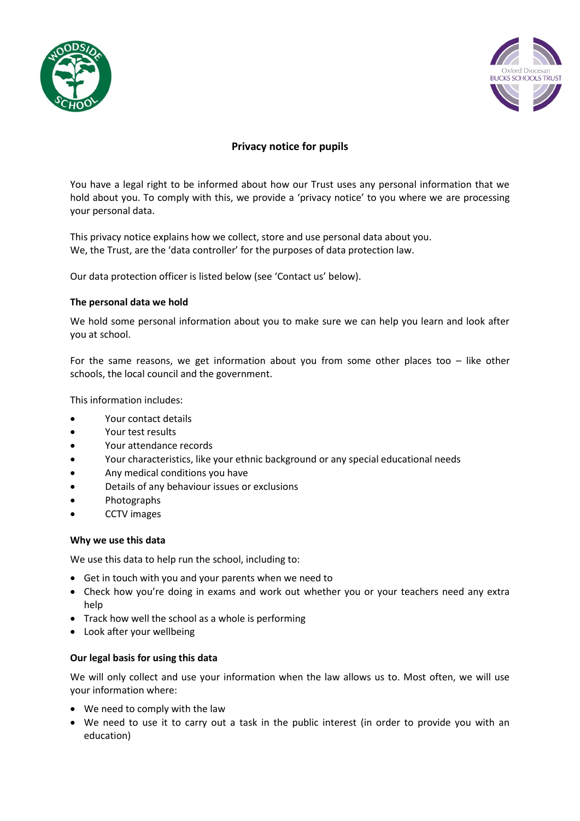



# **Privacy notice for pupils**

You have a legal right to be informed about how our Trust uses any personal information that we hold about you. To comply with this, we provide a 'privacy notice' to you where we are processing your personal data.

This privacy notice explains how we collect, store and use personal data about you. We, the Trust, are the 'data controller' for the purposes of data protection law.

Our data protection officer is listed below (see 'Contact us' below).

# **The personal data we hold**

We hold some personal information about you to make sure we can help you learn and look after you at school.

For the same reasons, we get information about you from some other places too  $-$  like other schools, the local council and the government.

This information includes:

- Your contact details
- Your test results
- Your attendance records
- Your characteristics, like your ethnic background or any special educational needs
- Any medical conditions you have
- Details of any behaviour issues or exclusions
- Photographs
- CCTV images

# **Why we use this data**

We use this data to help run the school, including to:

- Get in touch with you and your parents when we need to
- Check how you're doing in exams and work out whether you or your teachers need any extra help
- Track how well the school as a whole is performing
- Look after your wellbeing

# **Our legal basis for using this data**

We will only collect and use your information when the law allows us to. Most often, we will use your information where:

- We need to comply with the law
- We need to use it to carry out a task in the public interest (in order to provide you with an education)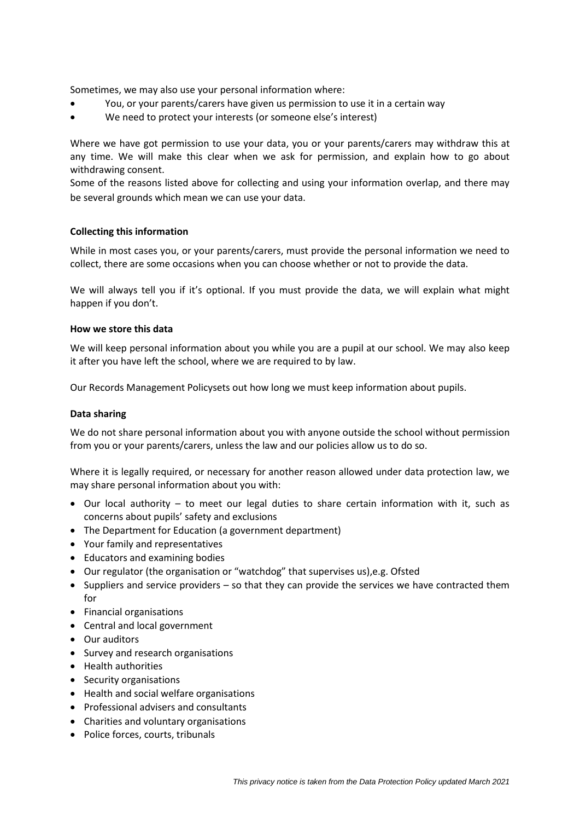Sometimes, we may also use your personal information where:

- You, or your parents/carers have given us permission to use it in a certain way
- We need to protect your interests (or someone else's interest)

Where we have got permission to use your data, you or your parents/carers may withdraw this at any time. We will make this clear when we ask for permission, and explain how to go about withdrawing consent.

Some of the reasons listed above for collecting and using your information overlap, and there may be several grounds which mean we can use your data.

# **Collecting this information**

While in most cases you, or your parents/carers, must provide the personal information we need to collect, there are some occasions when you can choose whether or not to provide the data.

We will always tell you if it's optional. If you must provide the data, we will explain what might happen if you don't.

#### **How we store this data**

We will keep personal information about you while you are a pupil at our school. We may also keep it after you have left the school, where we are required to by law.

Our Records Management Policysets out how long we must keep information about pupils.

#### **Data sharing**

We do not share personal information about you with anyone outside the school without permission from you or your parents/carers, unless the law and our policies allow us to do so.

Where it is legally required, or necessary for another reason allowed under data protection law, we may share personal information about you with:

- Our local authority to meet our legal duties to share certain information with it, such as concerns about pupils' safety and exclusions
- The Department for Education (a government department)
- Your family and representatives
- Educators and examining bodies
- Our regulator (the organisation or "watchdog" that supervises us),e.g. Ofsted
- Suppliers and service providers so that they can provide the services we have contracted them for
- Financial organisations
- Central and local government
- Our auditors
- Survey and research organisations
- Health authorities
- Security organisations
- Health and social welfare organisations
- Professional advisers and consultants
- Charities and voluntary organisations
- Police forces, courts, tribunals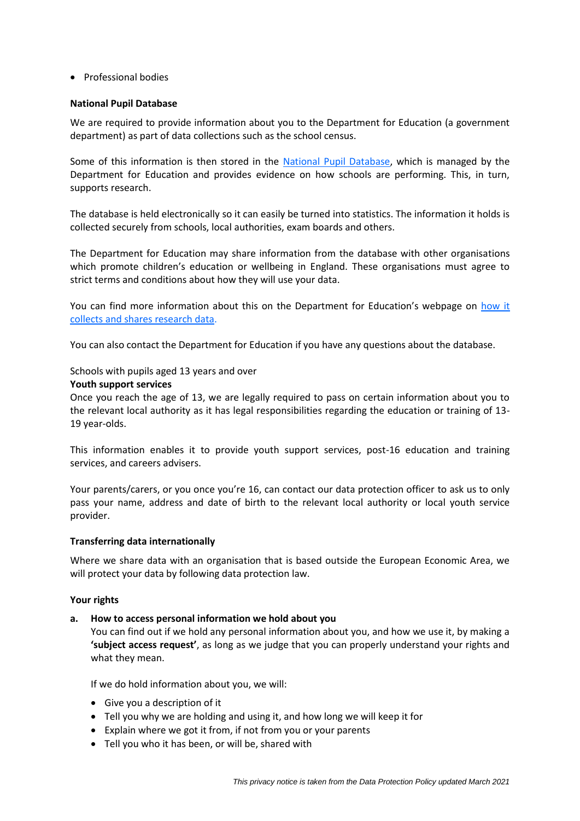# • Professional bodies

#### **National Pupil Database**

We are required to provide information about you to the Department for Education (a government department) as part of data collections such as the school census.

Some of this information is then stored in the [National Pupil Database,](https://www.gov.uk/government/publications/national-pupil-database-user-guide-and-supporting-information) which is managed by the Department for Education and provides evidence on how schools are performing. This, in turn, supports research.

The database is held electronically so it can easily be turned into statistics. The information it holds is collected securely from schools, local authorities, exam boards and others.

The Department for Education may share information from the database with other organisations which promote children's education or wellbeing in England. These organisations must agree to strict terms and conditions about how they will use your data.

You can find more information about this on the Department for Education's webpage on how it [collects and shares research data.](https://www.gov.uk/data-protection-how-we-collect-and-share-research-data)

You can also contact the Department for Education if you have any questions about the database.

### Schools with pupils aged 13 years and over

#### **Youth support services**

Once you reach the age of 13, we are legally required to pass on certain information about you to the relevant local authority as it has legal responsibilities regarding the education or training of 13- 19 year-olds.

This information enables it to provide youth support services, post-16 education and training services, and careers advisers.

Your parents/carers, or you once you're 16, can contact our data protection officer to ask us to only pass your name, address and date of birth to the relevant local authority or local youth service provider.

# **Transferring data internationally**

Where we share data with an organisation that is based outside the European Economic Area, we will protect your data by following data protection law.

#### **Your rights**

#### **a. How to access personal information we hold about you**

You can find out if we hold any personal information about you, and how we use it, by making a **'subject access request'**, as long as we judge that you can properly understand your rights and what they mean.

If we do hold information about you, we will:

- Give you a description of it
- Tell you why we are holding and using it, and how long we will keep it for
- Explain where we got it from, if not from you or your parents
- Tell you who it has been, or will be, shared with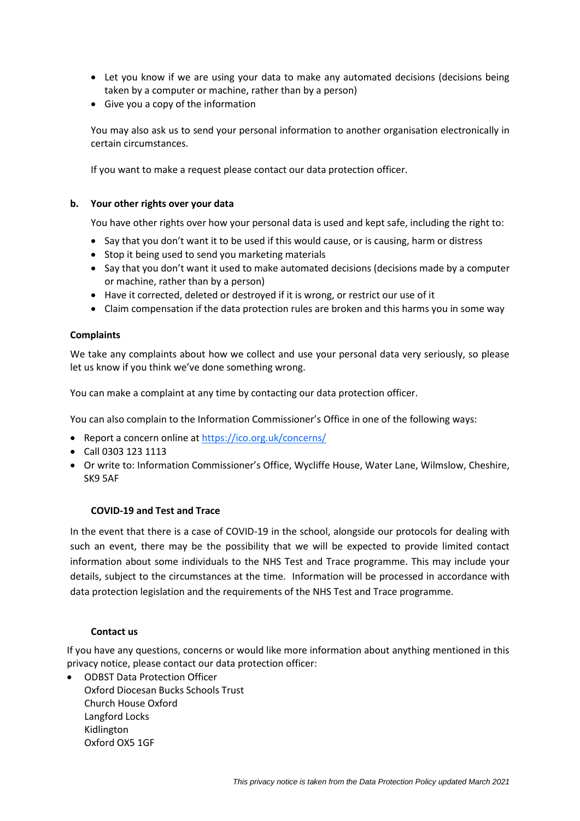- Let you know if we are using your data to make any automated decisions (decisions being taken by a computer or machine, rather than by a person)
- Give you a copy of the information

You may also ask us to send your personal information to another organisation electronically in certain circumstances.

If you want to make a request please contact our data protection officer.

# **b. Your other rights over your data**

You have other rights over how your personal data is used and kept safe, including the right to:

- Say that you don't want it to be used if this would cause, or is causing, harm or distress
- Stop it being used to send you marketing materials
- Say that you don't want it used to make automated decisions (decisions made by a computer or machine, rather than by a person)
- Have it corrected, deleted or destroyed if it is wrong, or restrict our use of it
- Claim compensation if the data protection rules are broken and this harms you in some way

# **Complaints**

We take any complaints about how we collect and use your personal data very seriously, so please let us know if you think we've done something wrong.

You can make a complaint at any time by contacting our data protection officer.

You can also complain to the Information Commissioner's Office in one of the following ways:

- Report a concern online at<https://ico.org.uk/concerns/>
- Call 0303 123 1113
- Or write to: Information Commissioner's Office, Wycliffe House, Water Lane, Wilmslow, Cheshire, SK9 5AF

# **COVID-19 and Test and Trace**

In the event that there is a case of COVID-19 in the school, alongside our protocols for dealing with such an event, there may be the possibility that we will be expected to provide limited contact information about some individuals to the NHS Test and Trace programme. This may include your details, subject to the circumstances at the time. Information will be processed in accordance with data protection legislation and the requirements of the NHS Test and Trace programme.

# **Contact us**

If you have any questions, concerns or would like more information about anything mentioned in this privacy notice, please contact our data protection officer:

 ODBST Data Protection Officer Oxford Diocesan Bucks Schools Trust

Church House Oxford Langford Locks Kidlington Oxford OX5 1GF